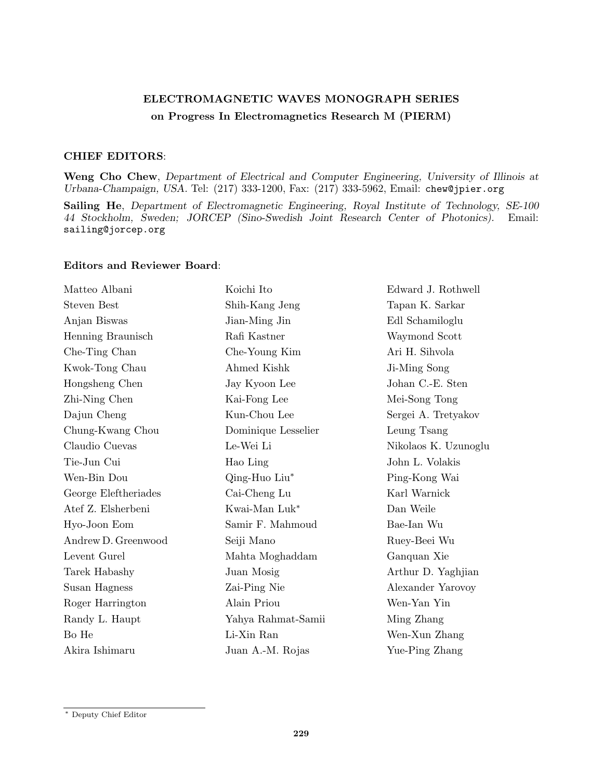## ELECTROMAGNETIC WAVES MONOGRAPH SERIES on Progress In Electromagnetics Research M (PIERM)

## CHIEF EDITORS:

Weng Cho Chew, Department of Electrical and Computer Engineering, University of Illinois at Urbana-Champaign, USA. Tel: (217) 333-1200, Fax: (217) 333-5962, Email: chew@jpier.org

Sailing He, Department of Electromagnetic Engineering, Royal Institute of Technology, SE-100 44 Stockholm, Sweden; JORCEP (Sino-Swedish Joint Research Center of Photonics). Email: sailing@jorcep.org

## Editors and Reviewer Board:

| Matteo Albani        | Koichi Ito          | Edward J. Rothwell   |
|----------------------|---------------------|----------------------|
| <b>Steven Best</b>   | Shih-Kang Jeng      | Tapan K. Sarkar      |
| Anjan Biswas         | Jian-Ming Jin       | Edl Schamiloglu      |
| Henning Braunisch    | Rafi Kastner        | Waymond Scott        |
| Che-Ting Chan        | Che-Young Kim       | Ari H. Sihvola       |
| Kwok-Tong Chau       | Ahmed Kishk         | Ji-Ming Song         |
| Hongsheng Chen       | Jay Kyoon Lee       | Johan C.-E. Sten     |
| Zhi-Ning Chen        | Kai-Fong Lee        | Mei-Song Tong        |
| Dajun Cheng          | Kun-Chou Lee        | Sergei A. Tretyakov  |
| Chung-Kwang Chou     | Dominique Lesselier | Leung Tsang          |
| Claudio Cuevas       | Le-Wei Li           | Nikolaos K. Uzunoglu |
| Tie-Jun Cui          | Hao Ling            | John L. Volakis      |
| Wen-Bin Dou          | Qing-Huo Liu*       | Ping-Kong Wai        |
| George Eleftheriades | Cai-Cheng Lu        | Karl Warnick         |
| Atef Z. Elsherbeni   | Kwai-Man Luk*       | Dan Weile            |
| Hyo-Joon Eom         | Samir F. Mahmoud    | Bae-Ian Wu           |
| Andrew D. Greenwood  | Seiji Mano          | Ruey-Beei Wu         |
| Levent Gurel         | Mahta Moghaddam     | Ganquan Xie          |
| Tarek Habashy        | Juan Mosig          | Arthur D. Yaghjian   |
| Susan Hagness        | Zai-Ping Nie        | Alexander Yarovoy    |
| Roger Harrington     | Alain Priou         | Wen-Yan Yin          |
| Randy L. Haupt       | Yahya Rahmat-Samii  | Ming Zhang           |
| Bo He                | Li-Xin Ran          | Wen-Xun Zhang        |
| Akira Ishimaru       | Juan A.-M. Rojas    | Yue-Ping Zhang       |

<sup>∗</sup> Deputy Chief Editor